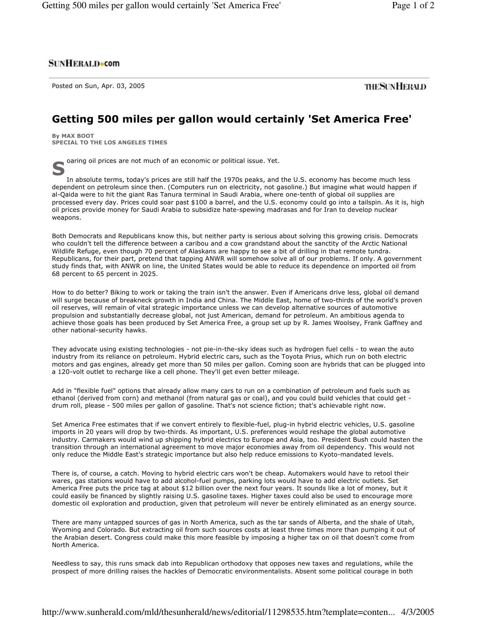## **SUNHERALD**•com

Posted on Sun, Apr. 03, 2005

**THESUNHERALD** 

## Getting 500 miles per gallon would certainly 'Set America Free'

By MAX BOOT SPECIAL TO THE LOS ANGELES TIMES

oaring oil prices are not much of an economic or political issue. Yet.

In absolute terms, today's prices are still half the 1970s peaks, and the U.S. economy has become much less dependent on petroleum since then. (Computers run on electricity, not gasoline.) But imagine what would happen if al-Qaida were to hit the giant Ras Tanura terminal in Saudi Arabia, where one-tenth of global oil supplies are processed every day. Prices could soar past \$100 a barrel, and the U.S. economy could go into a tailspin. As it is, high oil prices provide money for Saudi Arabia to subsidize hate-spewing madrasas and for Iran to develop nuclear weapons.

Both Democrats and Republicans know this, but neither party is serious about solving this growing crisis. Democrats who couldn't tell the difference between a caribou and a cow grandstand about the sanctity of the Arctic National Wildlife Refuge, even though 70 percent of Alaskans are happy to see a bit of drilling in that remote tundra. Republicans, for their part, pretend that tapping ANWR will somehow solve all of our problems. If only. A government study finds that, with ANWR on line, the United States would be able to reduce its dependence on imported oil from 68 percent to 65 percent in 2025.

How to do better? Biking to work or taking the train isn't the answer. Even if Americans drive less, global oil demand will surge because of breakneck growth in India and China. The Middle East, home of two-thirds of the world's proven oil reserves, will remain of vital strategic importance unless we can develop alternative sources of automotive propulsion and substantially decrease global, not just American, demand for petroleum. An ambitious agenda to achieve those goals has been produced by Set America Free, a group set up by R. James Woolsey, Frank Gaffney and other national-security hawks.

They advocate using existing technologies - not pie-in-the-sky ideas such as hydrogen fuel cells - to wean the auto industry from its reliance on petroleum. Hybrid electric cars, such as the Toyota Prius, which run on both electric motors and gas engines, already get more than 50 miles per gallon. Coming soon are hybrids that can be plugged into a 120-volt outlet to recharge like a cell phone. They'll get even better mileage.

Add in "flexible fuel" options that already allow many cars to run on a combination of petroleum and fuels such as ethanol (derived from corn) and methanol (from natural gas or coal), and you could build vehicles that could get drum roll, please - 500 miles per gallon of gasoline. That's not science fiction; that's achievable right now.

Set America Free estimates that if we convert entirely to flexible-fuel, plug-in hybrid electric vehicles, U.S. gasoline imports in 20 years will drop by two-thirds. As important, U.S. preferences would reshape the global automotive industry. Carmakers would wind up shipping hybrid electrics to Europe and Asia, too. President Bush could hasten the transition through an international agreement to move major economies away from oil dependency. This would not only reduce the Middle East's strategic importance but also help reduce emissions to Kyoto-mandated levels.

There is, of course, a catch. Moving to hybrid electric cars won't be cheap. Automakers would have to retool their wares, gas stations would have to add alcohol-fuel pumps, parking lots would have to add electric outlets. Set America Free puts the price tag at about \$12 billion over the next four years. It sounds like a lot of money, but it could easily be financed by slightly raising U.S. gasoline taxes. Higher taxes could also be used to encourage more domestic oil exploration and production, given that petroleum will never be entirely eliminated as an energy source.

There are many untapped sources of gas in North America, such as the tar sands of Alberta, and the shale of Utah, Wyoming and Colorado. But extracting oil from such sources costs at least three times more than pumping it out of the Arabian desert. Congress could make this more feasible by imposing a higher tax on oil that doesn't come from North America.

Needless to say, this runs smack dab into Republican orthodoxy that opposes new taxes and regulations, while the prospect of more drilling raises the hackles of Democratic environmentalists. Absent some political courage in both